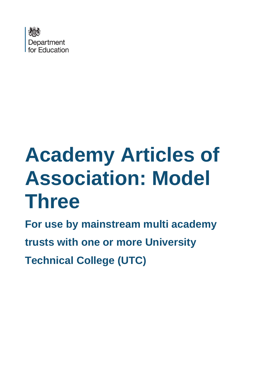

# **Academy Articles of Association: Model Three**

**For use by mainstream multi academy trusts with one or more University Technical College (UTC)**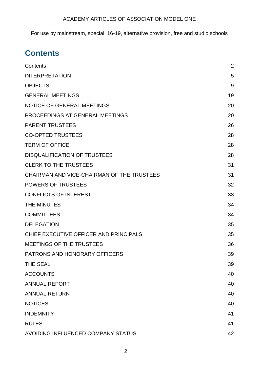For use by mainstream, special, 16-19, alternative provision, free and studio schools

## <span id="page-1-0"></span>**Contents**

| Contents                                   | $\overline{2}$ |
|--------------------------------------------|----------------|
| <b>INTERPRETATION</b>                      | 5              |
| <b>OBJECTS</b>                             | 9              |
| <b>GENERAL MEETINGS</b>                    | 19             |
| <b>NOTICE OF GENERAL MEETINGS</b>          | 20             |
| PROCEEDINGS AT GENERAL MEETINGS            | 20             |
| <b>PARENT TRUSTEES</b>                     | 26             |
| <b>CO-OPTED TRUSTEES</b>                   | 28             |
| <b>TERM OF OFFICE</b>                      | 28             |
| <b>DISQUALIFICATION OF TRUSTEES</b>        | 28             |
| <b>CLERK TO THE TRUSTEES</b>               | 31             |
| CHAIRMAN AND VICE-CHAIRMAN OF THE TRUSTEES | 31             |
| <b>POWERS OF TRUSTEES</b>                  | 32             |
| <b>CONFLICTS OF INTEREST</b>               | 33             |
| THE MINUTES                                | 34             |
| <b>COMMITTEES</b>                          | 34             |
| <b>DELEGATION</b>                          | 35             |
| CHIEF EXECUTIVE OFFICER AND PRINCIPALS     | 35             |
| MEETINGS OF THE TRUSTEES                   | 36             |
| <b>PATRONS AND HONORARY OFFICERS</b>       | 39             |
| <b>THE SEAL</b>                            | 39             |
| <b>ACCOUNTS</b>                            | 40             |
| <b>ANNUAL REPORT</b>                       | 40             |
| <b>ANNUAL RETURN</b>                       | 40             |
| <b>NOTICES</b>                             | 40             |
| <b>INDEMNITY</b>                           | 41             |
| <b>RULES</b>                               | 41             |
| AVOIDING INFLUENCED COMPANY STATUS         | 42             |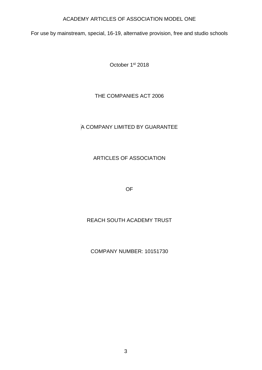For use by mainstream, special, 16-19, alternative provision, free and studio schools

October 1st 2018

THE COMPANIES ACT 2006

## A COMPANY LIMITED BY GUARANTEE

## ARTICLES OF ASSOCIATION

OF

## REACH SOUTH ACADEMY TRUST

COMPANY NUMBER: 10151730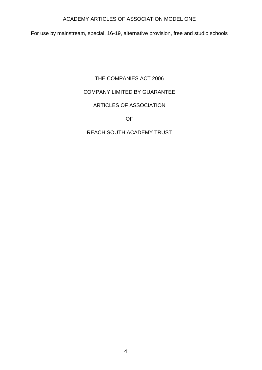For use by mainstream, special, 16-19, alternative provision, free and studio schools

## THE COMPANIES ACT 2006

## COMPANY LIMITED BY GUARANTEE

## ARTICLES OF ASSOCIATION

OF

## REACH SOUTH ACADEMY TRUST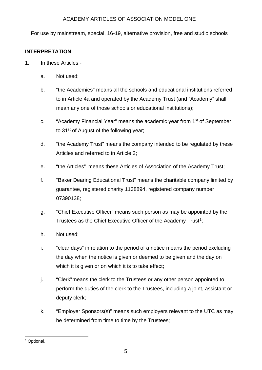For use by mainstream, special, 16-19, alternative provision, free and studio schools

## <span id="page-4-0"></span>**INTERPRETATION**

- 1. In these Articles:
	- a. Not used;
	- b. "the Academies" means all the schools and educational institutions referred to in Article 4a and operated by the Academy Trust (and "Academy" shall mean any one of those schools or educational institutions);
	- c. "Academy Financial Year" means the academic year from 1st of September to 31<sup>st</sup> of August of the following year;
	- d. "the Academy Trust" means the company intended to be regulated by these Articles and referred to in Article 2;
	- e. "the Articles" means these Articles of Association of the Academy Trust;
	- f. "Baker Dearing Educational Trust" means the charitable company limited by guarantee, registered charity 1138894, registered company number 07390138;
	- g. "Chief Executive Officer" means such person as may be appointed by the Trustees as the Chief Executive Officer of the Academy Trust<sup>[1](#page-4-1)</sup>;
	- h. Not used;
	- i. "clear days" in relation to the period of a notice means the period excluding the day when the notice is given or deemed to be given and the day on which it is given or on which it is to take effect;
	- j. "Clerk"means the clerk to the Trustees or any other person appointed to perform the duties of the clerk to the Trustees, including a joint, assistant or deputy clerk;
	- k. "Employer Sponsors(s)" means such employers relevant to the UTC as may be determined from time to time by the Trustees;

<span id="page-4-1"></span><sup>&</sup>lt;sup>1</sup> Optional.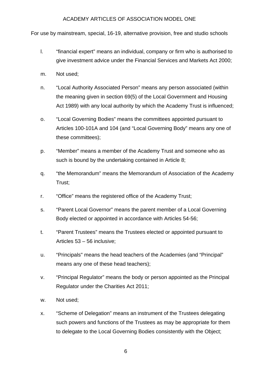For use by mainstream, special, 16-19, alternative provision, free and studio schools

- l. "financial expert" means an individual, company or firm who is authorised to give investment advice under the Financial Services and Markets Act 2000;
- m. Not used;
- n. "Local Authority Associated Person" means any person associated (within the meaning given in section 69(5) of the Local Government and Housing Act 1989) with any local authority by which the Academy Trust is influenced;
- o. "Local Governing Bodies" means the committees appointed pursuant to Articles 100-101A and 104 (and "Local Governing Body" means any one of these committees);
- p. "Member" means a member of the Academy Trust and someone who as such is bound by the undertaking contained in Article 8;
- q. "the Memorandum" means the Memorandum of Association of the Academy Trust;
- r. "Office" means the registered office of the Academy Trust;
- s. "Parent Local Governor" means the parent member of a Local Governing Body elected or appointed in accordance with Articles 54-56;
- t. "Parent Trustees" means the Trustees elected or appointed pursuant to Articles 53 – 56 inclusive;
- u. "Principals" means the head teachers of the Academies (and "Principal" means any one of these head teachers);
- v. "Principal Regulator" means the body or person appointed as the Principal Regulator under the Charities Act 2011;
- w. Not used;
- x. "Scheme of Delegation" means an instrument of the Trustees delegating such powers and functions of the Trustees as may be appropriate for them to delegate to the Local Governing Bodies consistently with the Object;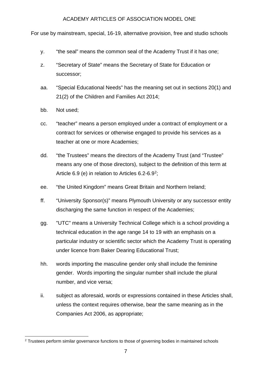For use by mainstream, special, 16-19, alternative provision, free and studio schools

- y. "the seal" means the common seal of the Academy Trust if it has one;
- z. "Secretary of State" means the Secretary of State for Education or successor;
- aa. "Special Educational Needs" has the meaning set out in sections 20(1) and 21(2) of the Children and Families Act 2014;
- bb. Not used;
- cc. "teacher" means a person employed under a contract of employment or a contract for services or otherwise engaged to provide his services as a teacher at one or more Academies;
- dd. "the Trustees" means the directors of the Academy Trust (and "Trustee" means any one of those directors), subject to the definition of this term at Article 6.9 (e) in relation to Articles 6.2-6.9[2;](#page-6-0)
- ee. "the United Kingdom" means Great Britain and Northern Ireland;
- ff. "University Sponsor(s)" means Plymouth University or any successor entity discharging the same function in respect of the Academies;
- gg. "UTC" means a University Technical College which is a school providing a technical education in the age range 14 to 19 with an emphasis on a particular industry or scientific sector which the Academy Trust is operating under licence from Baker Dearing Educational Trust;
- hh. words importing the masculine gender only shall include the feminine gender. Words importing the singular number shall include the plural number, and vice versa;
- ii. subject as aforesaid, words or expressions contained in these Articles shall, unless the context requires otherwise, bear the same meaning as in the Companies Act 2006, as appropriate;

<span id="page-6-0"></span><sup>&</sup>lt;sup>2</sup> Trustees perform similar governance functions to those of governing bodies in maintained schools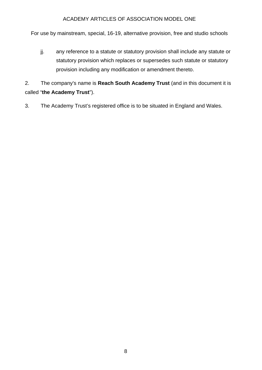For use by mainstream, special, 16-19, alternative provision, free and studio schools

jj. any reference to a statute or statutory provision shall include any statute or statutory provision which replaces or supersedes such statute or statutory provision including any modification or amendment thereto.

2. The company's name is **Reach South Academy Trust** (and in this document it is called "**the Academy Trust**").

3. The Academy Trust's registered office is to be situated in England and Wales.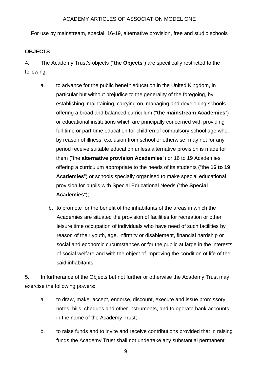For use by mainstream, special, 16-19, alternative provision, free and studio schools

#### <span id="page-8-0"></span>**OBJECTS**

4. The Academy Trust's objects ("**the Objects**") are specifically restricted to the following:

- a. to advance for the public benefit education in the United Kingdom, in particular but without prejudice to the generality of the foregoing, by establishing, maintaining, carrying on, managing and developing schools offering a broad and balanced curriculum ("**the mainstream Academies**") or educational institutions which are principally concerned with providing full-time or part-time education for children of compulsory school age who, by reason of illness, exclusion from school or otherwise, may not for any period receive suitable education unless alternative provision is made for them ("the **alternative provision Academies**") or 16 to 19 Academies offering a curriculum appropriate to the needs of its students ("the **16 to 19 Academies**") or schools specially organised to make special educational provision for pupils with Special Educational Needs ("the **Special Academies**");
	- b. to promote for the benefit of the inhabitants of the areas in which the Academies are situated the provision of facilities for recreation or other leisure time occupation of individuals who have need of such facilities by reason of their youth, age, infirmity or disablement, financial hardship or social and economic circumstances or for the public at large in the interests of social welfare and with the object of improving the condition of life of the said inhabitants.

5. In furtherance of the Objects but not further or otherwise the Academy Trust may exercise the following powers:

- a. to draw, make, accept, endorse, discount, execute and issue promissory notes, bills, cheques and other instruments, and to operate bank accounts in the name of the Academy Trust;
- b. to raise funds and to invite and receive contributions provided that in raising funds the Academy Trust shall not undertake any substantial permanent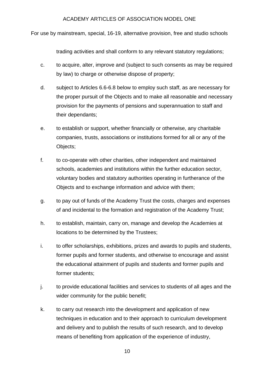For use by mainstream, special, 16-19, alternative provision, free and studio schools

trading activities and shall conform to any relevant statutory regulations;

- c. to acquire, alter, improve and (subject to such consents as may be required by law) to charge or otherwise dispose of property;
- d. subject to Articles 6.6-6.8 below to employ such staff, as are necessary for the proper pursuit of the Objects and to make all reasonable and necessary provision for the payments of pensions and superannuation to staff and their dependants;
- e. to establish or support, whether financially or otherwise, any charitable companies, trusts, associations or institutions formed for all or any of the Objects;
- f. to co-operate with other charities, other independent and maintained schools, academies and institutions within the further education sector, voluntary bodies and statutory authorities operating in furtherance of the Objects and to exchange information and advice with them;
- g. to pay out of funds of the Academy Trust the costs, charges and expenses of and incidental to the formation and registration of the Academy Trust;
- h. to establish, maintain, carry on, manage and develop the Academies at locations to be determined by the Trustees;
- i. to offer scholarships, exhibitions, prizes and awards to pupils and students, former pupils and former students, and otherwise to encourage and assist the educational attainment of pupils and students and former pupils and former students;
- j. to provide educational facilities and services to students of all ages and the wider community for the public benefit;
- k. to carry out research into the development and application of new techniques in education and to their approach to curriculum development and delivery and to publish the results of such research, and to develop means of benefiting from application of the experience of industry,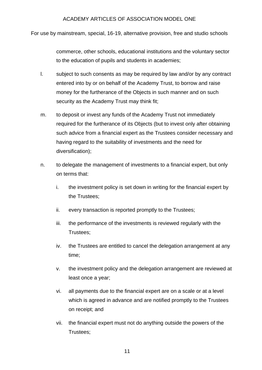For use by mainstream, special, 16-19, alternative provision, free and studio schools

commerce, other schools, educational institutions and the voluntary sector to the education of pupils and students in academies;

- l. subject to such consents as may be required by law and/or by any contract entered into by or on behalf of the Academy Trust, to borrow and raise money for the furtherance of the Objects in such manner and on such security as the Academy Trust may think fit;
- m. to deposit or invest any funds of the Academy Trust not immediately required for the furtherance of its Objects (but to invest only after obtaining such advice from a financial expert as the Trustees consider necessary and having regard to the suitability of investments and the need for diversification);
- n. to delegate the management of investments to a financial expert, but only on terms that:
	- i. the investment policy is set down in writing for the financial expert by the Trustees;
	- ii. every transaction is reported promptly to the Trustees;
	- iii. the performance of the investments is reviewed regularly with the Trustees;
	- iv. the Trustees are entitled to cancel the delegation arrangement at any time;
	- v. the investment policy and the delegation arrangement are reviewed at least once a year;
	- vi. all payments due to the financial expert are on a scale or at a level which is agreed in advance and are notified promptly to the Trustees on receipt; and
	- vii. the financial expert must not do anything outside the powers of the Trustees;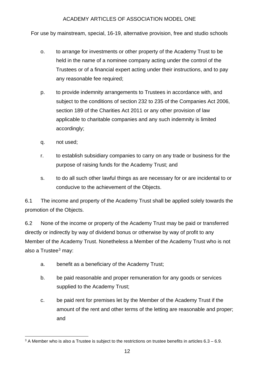For use by mainstream, special, 16-19, alternative provision, free and studio schools

- o. to arrange for investments or other property of the Academy Trust to be held in the name of a nominee company acting under the control of the Trustees or of a financial expert acting under their instructions, and to pay any reasonable fee required;
- p. to provide indemnity arrangements to Trustees in accordance with, and subject to the conditions of section 232 to 235 of the Companies Act 2006, section 189 of the Charities Act 2011 or any other provision of law applicable to charitable companies and any such indemnity is limited accordingly;
- q. not used;
- r. to establish subsidiary companies to carry on any trade or business for the purpose of raising funds for the Academy Trust; and
- s. to do all such other lawful things as are necessary for or are incidental to or conducive to the achievement of the Objects.

6.1 The income and property of the Academy Trust shall be applied solely towards the promotion of the Objects.

6.2 None of the income or property of the Academy Trust may be paid or transferred directly or indirectly by way of dividend bonus or otherwise by way of profit to any Member of the Academy Trust. Nonetheless a Member of the Academy Trust who is not also a Trustee $3$  may:

- a. benefit as a beneficiary of the Academy Trust;
- b. be paid reasonable and proper remuneration for any goods or services supplied to the Academy Trust;
- c. be paid rent for premises let by the Member of the Academy Trust if the amount of the rent and other terms of the letting are reasonable and proper; and

<span id="page-11-0"></span> $3$  A Member who is also a Trustee is subject to the restrictions on trustee benefits in articles  $6.3 - 6.9$ .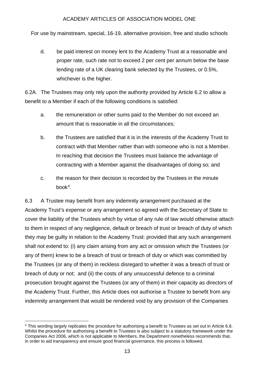For use by mainstream, special, 16-19, alternative provision, free and studio schools

d. be paid interest on money lent to the Academy Trust at a reasonable and proper rate, such rate not to exceed 2 per cent per annum below the base lending rate of a UK clearing bank selected by the Trustees, or 0.5%, whichever is the higher.

6.2A. The Trustees may only rely upon the authority provided by Article 6.2 to allow a benefit to a Member if each of the following conditions is satisfied:

- a. the remuneration or other sums paid to the Member do not exceed an amount that is reasonable in all the circumstances;
- b. the Trustees are satisfied that it is in the interests of the Academy Trust to contract with that Member rather than with someone who is not a Member. In reaching that decision the Trustees must balance the advantage of contracting with a Member against the disadvantages of doing so; and
- c. the reason for their decision is recorded by the Trustees in the minute book[4.](#page-12-0)

6.3 A Trustee may benefit from any indemnity arrangement purchased at the Academy Trust's expense or any arrangement so agreed with the Secretary of State to cover the liability of the Trustees which by virtue of any rule of law would otherwise attach to them in respect of any negligence, default or breach of trust or breach of duty of which they may be guilty in relation to the Academy Trust: provided that any such arrangement shall not extend to: (i) any claim arising from any act or omission which the Trustees (or any of them) knew to be a breach of trust or breach of duty or which was committed by the Trustees (or any of them) in reckless disregard to whether it was a breach of trust or breach of duty or not; and (ii) the costs of any unsuccessful defence to a criminal prosecution brought against the Trustees (or any of them) in their capacity as directors of the Academy Trust. Further, this Article does not authorise a Trustee to benefit from any indemnity arrangement that would be rendered void by any provision of the Companies

<span id="page-12-0"></span> <sup>4</sup> This wording largely replicates the procedure for authorising a benefit to Trustees as set out in Article 6.8. Whilst the procedure for authorising a benefit to Trustees is also subject to a statutory framework under the Companies Act 2006, which is not applicable to Members, the Department nonetheless recommends that, in order to aid transparency and ensure good financial governance, this process is followed.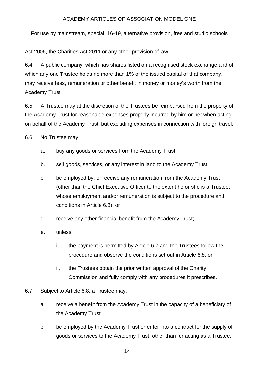For use by mainstream, special, 16-19, alternative provision, free and studio schools

Act 2006, the Charities Act 2011 or any other provision of law.

6.4 A public company, which has shares listed on a recognised stock exchange and of which any one Trustee holds no more than 1% of the issued capital of that company, may receive fees, remuneration or other benefit in money or money's worth from the Academy Trust.

6.5 A Trustee may at the discretion of the Trustees be reimbursed from the property of the Academy Trust for reasonable expenses properly incurred by him or her when acting on behalf of the Academy Trust, but excluding expenses in connection with foreign travel.

6.6 No Trustee may:

- a. buy any goods or services from the Academy Trust;
- b. sell goods, services, or any interest in land to the Academy Trust;
- c. be employed by, or receive any remuneration from the Academy Trust (other than the Chief Executive Officer to the extent he or she is a Trustee, whose employment and/or remuneration is subject to the procedure and conditions in Article 6.8); or
- d. receive any other financial benefit from the Academy Trust;
- e. unless:
	- i. the payment is permitted by Article 6.7 and the Trustees follow the procedure and observe the conditions set out in Article 6.8; or
	- ii. the Trustees obtain the prior written approval of the Charity Commission and fully comply with any procedures it prescribes.
- 6.7 Subject to Article 6.8, a Trustee may:
	- a. receive a benefit from the Academy Trust in the capacity of a beneficiary of the Academy Trust;
	- b. be employed by the Academy Trust or enter into a contract for the supply of goods or services to the Academy Trust, other than for acting as a Trustee;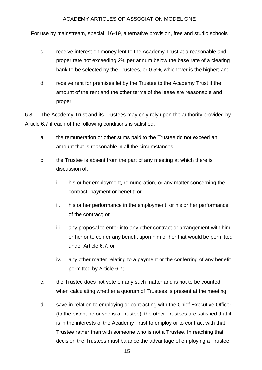For use by mainstream, special, 16-19, alternative provision, free and studio schools

- c. receive interest on money lent to the Academy Trust at a reasonable and proper rate not exceeding 2% per annum below the base rate of a clearing bank to be selected by the Trustees, or 0.5%, whichever is the higher; and
- d. receive rent for premises let by the Trustee to the Academy Trust if the amount of the rent and the other terms of the lease are reasonable and proper.

6.8 The Academy Trust and its Trustees may only rely upon the authority provided by Article 6.7 if each of the following conditions is satisfied:

- a. the remuneration or other sums paid to the Trustee do not exceed an amount that is reasonable in all the circumstances;
- b. the Trustee is absent from the part of any meeting at which there is discussion of:
	- i. his or her employment, remuneration, or any matter concerning the contract, payment or benefit; or
	- ii. his or her performance in the employment, or his or her performance of the contract; or
	- iii. any proposal to enter into any other contract or arrangement with him or her or to confer any benefit upon him or her that would be permitted under Article 6.7; or
	- iv. any other matter relating to a payment or the conferring of any benefit permitted by Article 6.7;
- c. the Trustee does not vote on any such matter and is not to be counted when calculating whether a quorum of Trustees is present at the meeting;
- d. save in relation to employing or contracting with the Chief Executive Officer (to the extent he or she is a Trustee), the other Trustees are satisfied that it is in the interests of the Academy Trust to employ or to contract with that Trustee rather than with someone who is not a Trustee. In reaching that decision the Trustees must balance the advantage of employing a Trustee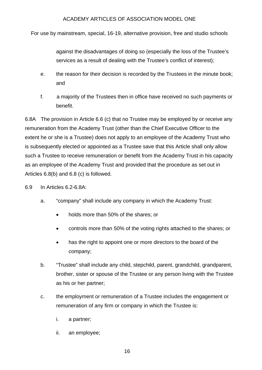For use by mainstream, special, 16-19, alternative provision, free and studio schools

against the disadvantages of doing so (especially the loss of the Trustee's services as a result of dealing with the Trustee's conflict of interest);

- e. the reason for their decision is recorded by the Trustees in the minute book; and
- f. a majority of the Trustees then in office have received no such payments or benefit.

6.8A The provision in Article 6.6 (c) that no Trustee may be employed by or receive any remuneration from the Academy Trust (other than the Chief Executive Officer to the extent he or she is a Trustee) does not apply to an employee of the Academy Trust who is subsequently elected or appointed as a Trustee save that this Article shall only allow such a Trustee to receive remuneration or benefit from the Academy Trust in his capacity as an employee of the Academy Trust and provided that the procedure as set out in Articles 6.8(b) and 6.8 (c) is followed.

- 6.9 In Articles 6.2-6.8A:
	- a. "company" shall include any company in which the Academy Trust:
		- holds more than 50% of the shares; or
		- controls more than 50% of the voting rights attached to the shares; or
		- has the right to appoint one or more directors to the board of the company;
	- b. "Trustee" shall include any child, stepchild, parent, grandchild, grandparent, brother, sister or spouse of the Trustee or any person living with the Trustee as his or her partner;
	- c. the employment or remuneration of a Trustee includes the engagement or remuneration of any firm or company in which the Trustee is:
		- i. a partner;
		- ii. an employee;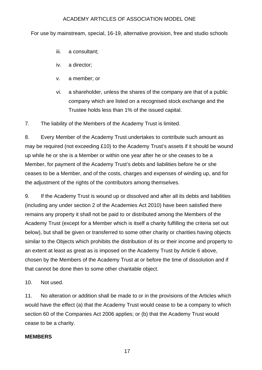For use by mainstream, special, 16-19, alternative provision, free and studio schools

- iii. a consultant;
- iv. a director;
- v. a member; or
- vi. a shareholder, unless the shares of the company are that of a public company which are listed on a recognised stock exchange and the Trustee holds less than 1% of the issued capital.

7. The liability of the Members of the Academy Trust is limited.

8. Every Member of the Academy Trust undertakes to contribute such amount as may be required (not exceeding £10) to the Academy Trust's assets if it should be wound up while he or she is a Member or within one year after he or she ceases to be a Member, for payment of the Academy Trust's debts and liabilities before he or she ceases to be a Member, and of the costs, charges and expenses of winding up, and for the adjustment of the rights of the contributors among themselves.

9. If the Academy Trust is wound up or dissolved and after all its debts and liabilities (including any under section 2 of the Academies Act 2010) have been satisfied there remains any property it shall not be paid to or distributed among the Members of the Academy Trust (except for a Member which is itself a charity fulfilling the criteria set out below), but shall be given or transferred to some other charity or charities having objects similar to the Objects which prohibits the distribution of its or their income and property to an extent at least as great as is imposed on the Academy Trust by Article 6 above, chosen by the Members of the Academy Trust at or before the time of dissolution and if that cannot be done then to some other charitable object.

10. Not used.

11. No alteration or addition shall be made to or in the provisions of the Articles which would have the effect (a) that the Academy Trust would cease to be a company to which section 60 of the Companies Act 2006 applies; or (b) that the Academy Trust would cease to be a charity.

#### **MEMBERS**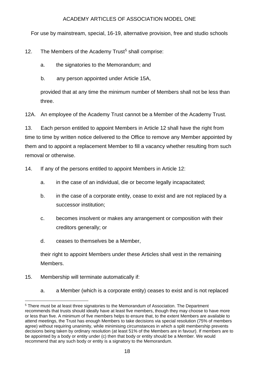For use by mainstream, special, 16-19, alternative provision, free and studio schools

12. The Members of the Academy Trust<sup>[5](#page-17-0)</sup> shall comprise:

a. the signatories to the Memorandum; and

b. any person appointed under Article 15A,

provided that at any time the minimum number of Members shall not be less than three.

12A. An employee of the Academy Trust cannot be a Member of the Academy Trust.

13. Each person entitled to appoint Members in Article 12 shall have the right from time to time by written notice delivered to the Office to remove any Member appointed by them and to appoint a replacement Member to fill a vacancy whether resulting from such removal or otherwise.

14. If any of the persons entitled to appoint Members in Article 12:

- a. in the case of an individual, die or become legally incapacitated;
- b. in the case of a corporate entity, cease to exist and are not replaced by a successor institution;
- c. becomes insolvent or makes any arrangement or composition with their creditors generally; or
- d. ceases to themselves be a Member,

their right to appoint Members under these Articles shall vest in the remaining **Members** 

- 15. Membership will terminate automatically if:
	- a. a Member (which is a corporate entity) ceases to exist and is not replaced

<span id="page-17-0"></span> <sup>5</sup> There must be at least three signatories to the Memorandum of Association. The Department recommends that trusts should ideally have at least five members, though they may choose to have more or less than five. A minimum of five members helps to ensure that, to the extent Members are available to attend meetings, the Trust has enough Members to take decisions via special resolution (75% of members agree) without requiring unanimity, while minimising circumstances in which a split membership prevents decisions being taken by ordinary resolution (at least 51% of the Members are in favour). If members are to be appointed by a body or entity under (c) then that body or entity should be a Member. We would recommend that any such body or entity is a signatory to the Memorandum.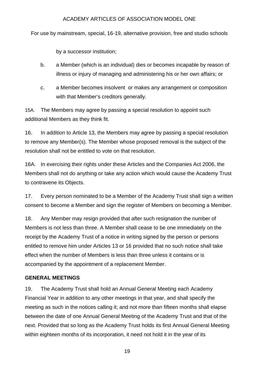For use by mainstream, special, 16-19, alternative provision, free and studio schools

by a successor institution;

- b. a Member (which is an individual) dies or becomes incapable by reason of illness or injury of managing and administering his or her own affairs; or
- c. a Member becomes insolvent or makes any arrangement or composition with that Member's creditors generally.

15A. The Members may agree by passing a special resolution to appoint such additional Members as they think fit.

16. In addition to Article 13, the Members may agree by passing a special resolution to remove any Member(s). The Member whose proposed removal is the subject of the resolution shall not be entitled to vote on that resolution.

16A. In exercising their rights under these Articles and the Companies Act 2006, the Members shall not do anything or take any action which would cause the Academy Trust to contravene its Objects.

17. Every person nominated to be a Member of the Academy Trust shall sign a written consent to become a Member and sign the register of Members on becoming a Member.

18. Any Member may resign provided that after such resignation the number of Members is not less than three. A Member shall cease to be one immediately on the receipt by the Academy Trust of a notice in writing signed by the person or persons entitled to remove him under Articles 13 or 16 provided that no such notice shall take effect when the number of Members is less than three unless it contains or is accompanied by the appointment of a replacement Member.

## <span id="page-18-0"></span>**GENERAL MEETINGS**

19. The Academy Trust shall hold an Annual General Meeting each Academy Financial Year in addition to any other meetings in that year, and shall specify the meeting as such in the notices calling it; and not more than fifteen months shall elapse between the date of one Annual General Meeting of the Academy Trust and that of the next. Provided that so long as the Academy Trust holds its first Annual General Meeting within eighteen months of its incorporation, it need not hold it in the year of its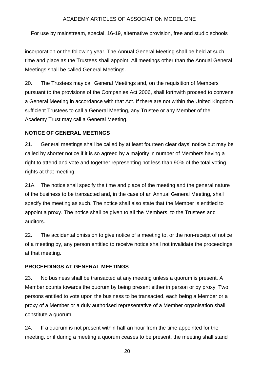For use by mainstream, special, 16-19, alternative provision, free and studio schools

incorporation or the following year. The Annual General Meeting shall be held at such time and place as the Trustees shall appoint. All meetings other than the Annual General Meetings shall be called General Meetings.

20. The Trustees may call General Meetings and, on the requisition of Members pursuant to the provisions of the Companies Act 2006, shall forthwith proceed to convene a General Meeting in accordance with that Act. If there are not within the United Kingdom sufficient Trustees to call a General Meeting, any Trustee or any Member of the Academy Trust may call a General Meeting.

## <span id="page-19-0"></span>**NOTICE OF GENERAL MEETINGS**

21. General meetings shall be called by at least fourteen clear days' notice but may be called by shorter notice if it is so agreed by a majority in number of Members having a right to attend and vote and together representing not less than 90% of the total voting rights at that meeting.

21A. The notice shall specify the time and place of the meeting and the general nature of the business to be transacted and, in the case of an Annual General Meeting, shall specify the meeting as such. The notice shall also state that the Member is entitled to appoint a proxy. The notice shall be given to all the Members, to the Trustees and auditors.

22. The accidental omission to give notice of a meeting to, or the non-receipt of notice of a meeting by, any person entitled to receive notice shall not invalidate the proceedings at that meeting.

## <span id="page-19-1"></span>**PROCEEDINGS AT GENERAL MEETINGS**

23. No business shall be transacted at any meeting unless a quorum is present. A Member counts towards the quorum by being present either in person or by proxy. Two persons entitled to vote upon the business to be transacted, each being a Member or a proxy of a Member or a duly authorised representative of a Member organisation shall constitute a quorum.

24. If a quorum is not present within half an hour from the time appointed for the meeting, or if during a meeting a quorum ceases to be present, the meeting shall stand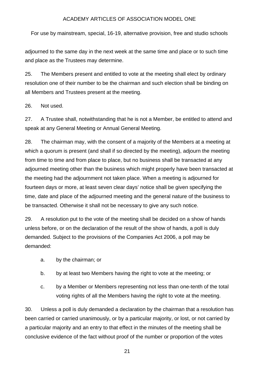For use by mainstream, special, 16-19, alternative provision, free and studio schools

adjourned to the same day in the next week at the same time and place or to such time and place as the Trustees may determine.

25. The Members present and entitled to vote at the meeting shall elect by ordinary resolution one of their number to be the chairman and such election shall be binding on all Members and Trustees present at the meeting.

26. Not used.

27. A Trustee shall, notwithstanding that he is not a Member, be entitled to attend and speak at any General Meeting or Annual General Meeting.

28. The chairman may, with the consent of a majority of the Members at a meeting at which a quorum is present (and shall if so directed by the meeting), adjourn the meeting from time to time and from place to place, but no business shall be transacted at any adjourned meeting other than the business which might properly have been transacted at the meeting had the adjournment not taken place. When a meeting is adjourned for fourteen days or more, at least seven clear days' notice shall be given specifying the time, date and place of the adjourned meeting and the general nature of the business to be transacted. Otherwise it shall not be necessary to give any such notice.

29. A resolution put to the vote of the meeting shall be decided on a show of hands unless before, or on the declaration of the result of the show of hands, a poll is duly demanded. Subject to the provisions of the Companies Act 2006, a poll may be demanded:

- a. by the chairman; or
- b. by at least two Members having the right to vote at the meeting; or
- c. by a Member or Members representing not less than one-tenth of the total voting rights of all the Members having the right to vote at the meeting.

30. Unless a poll is duly demanded a declaration by the chairman that a resolution has been carried or carried unanimously, or by a particular majority, or lost, or not carried by a particular majority and an entry to that effect in the minutes of the meeting shall be conclusive evidence of the fact without proof of the number or proportion of the votes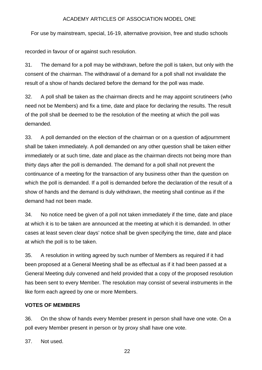For use by mainstream, special, 16-19, alternative provision, free and studio schools

recorded in favour of or against such resolution.

31. The demand for a poll may be withdrawn, before the poll is taken, but only with the consent of the chairman. The withdrawal of a demand for a poll shall not invalidate the result of a show of hands declared before the demand for the poll was made.

32. A poll shall be taken as the chairman directs and he may appoint scrutineers (who need not be Members) and fix a time, date and place for declaring the results. The result of the poll shall be deemed to be the resolution of the meeting at which the poll was demanded.

33. A poll demanded on the election of the chairman or on a question of adjournment shall be taken immediately. A poll demanded on any other question shall be taken either immediately or at such time, date and place as the chairman directs not being more than thirty days after the poll is demanded. The demand for a poll shall not prevent the continuance of a meeting for the transaction of any business other than the question on which the poll is demanded. If a poll is demanded before the declaration of the result of a show of hands and the demand is duly withdrawn, the meeting shall continue as if the demand had not been made.

34. No notice need be given of a poll not taken immediately if the time, date and place at which it is to be taken are announced at the meeting at which it is demanded. In other cases at least seven clear days' notice shall be given specifying the time, date and place at which the poll is to be taken.

35. A resolution in writing agreed by such number of Members as required if it had been proposed at a General Meeting shall be as effectual as if it had been passed at a General Meeting duly convened and held provided that a copy of the proposed resolution has been sent to every Member. The resolution may consist of several instruments in the like form each agreed by one or more Members.

## **VOTES OF MEMBERS**

36. On the show of hands every Member present in person shall have one vote. On a poll every Member present in person or by proxy shall have one vote.

37. Not used.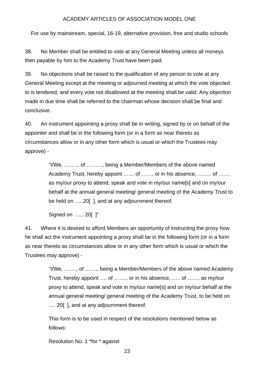For use by mainstream, special, 16-19, alternative provision, free and studio schools

38. No Member shall be entitled to vote at any General Meeting unless all moneys then payable by him to the Academy Trust have been paid.

39. No objections shall be raised to the qualification of any person to vote at any General Meeting except at the meeting or adjourned meeting at which the vote objected to is tendered, and every vote not disallowed at the meeting shall be valid. Any objection made in due time shall be referred to the chairman whose decision shall be final and conclusive.

40. An instrument appointing a proxy shall be in writing, signed by or on behalf of the appointer and shall be in the following form (or in a form as near thereto as circumstances allow or in any other form which is usual or which the Trustees may approve) -

> "I/We, …….., of ………, being a Member/Members of the above named Academy Trust, hereby appoint …… of ……, or in his absence, …….. of ……. as my/our proxy to attend, speak and vote in my/our name[s] and on my/our behalf at the annual general meeting/ general meeting of the Academy Trust to be held on …..20[ ], and at any adjournment thereof.

Signed on ….. 20[ ]"

41. Where it is desired to afford Members an opportunity of instructing the proxy how he shall act the instrument appointing a proxy shall be in the following form (or in a form as near thereto as circumstances allow or in any other form which is usual or which the Trustees may approve) -

> "I/We, ……., of ……., being a Member/Members of the above named Academy Trust, hereby appoint …. of ……., or in his absence, ….. of ……, as my/our proxy to attend, speak and vote in my/our name[s] and on my/our behalf at the annual general meeting/ general meeting of the Academy Trust, to be held on .... 20 [], and at any adjournment thereof.

This form is to be used in respect of the resolutions mentioned below as follows:

Resolution No. 1 \*for \* against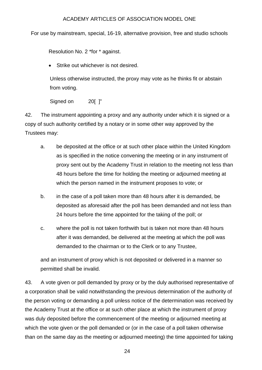For use by mainstream, special, 16-19, alternative provision, free and studio schools

Resolution No. 2 \*for \* against.

• Strike out whichever is not desired.

Unless otherwise instructed, the proxy may vote as he thinks fit or abstain from voting.

Signed on 20[ ]"

42. The instrument appointing a proxy and any authority under which it is signed or a copy of such authority certified by a notary or in some other way approved by the Trustees may:

- a. be deposited at the office or at such other place within the United Kingdom as is specified in the notice convening the meeting or in any instrument of proxy sent out by the Academy Trust in relation to the meeting not less than 48 hours before the time for holding the meeting or adjourned meeting at which the person named in the instrument proposes to vote; or
- b. in the case of a poll taken more than 48 hours after it is demanded, be deposited as aforesaid after the poll has been demanded and not less than 24 hours before the time appointed for the taking of the poll; or
- c. where the poll is not taken forthwith but is taken not more than 48 hours after it was demanded, be delivered at the meeting at which the poll was demanded to the chairman or to the Clerk or to any Trustee,

and an instrument of proxy which is not deposited or delivered in a manner so permitted shall be invalid.

43. A vote given or poll demanded by proxy or by the duly authorised representative of a corporation shall be valid notwithstanding the previous determination of the authority of the person voting or demanding a poll unless notice of the determination was received by the Academy Trust at the office or at such other place at which the instrument of proxy was duly deposited before the commencement of the meeting or adjourned meeting at which the vote given or the poll demanded or (or in the case of a poll taken otherwise than on the same day as the meeting or adjourned meeting) the time appointed for taking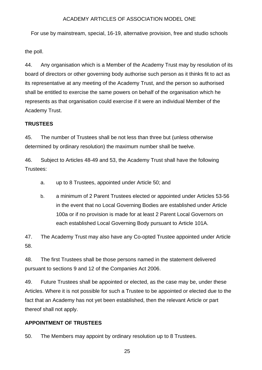For use by mainstream, special, 16-19, alternative provision, free and studio schools

the poll.

44. Any organisation which is a Member of the Academy Trust may by resolution of its board of directors or other governing body authorise such person as it thinks fit to act as its representative at any meeting of the Academy Trust, and the person so authorised shall be entitled to exercise the same powers on behalf of the organisation which he represents as that organisation could exercise if it were an individual Member of the Academy Trust.

## **TRUSTEES**

45. The number of Trustees shall be not less than three but (unless otherwise determined by ordinary resolution) the maximum number shall be twelve.

46. Subject to Articles 48-49 and 53, the Academy Trust shall have the following Trustees:

- a. up to 8 Trustees, appointed under Article 50; and
- b. a minimum of 2 Parent Trustees elected or appointed under Articles 53-56 in the event that no Local Governing Bodies are established under Article 100a or if no provision is made for at least 2 Parent Local Governors on each established Local Governing Body pursuant to Article 101A.

47. The Academy Trust may also have any Co-opted Trustee appointed under Article 58.

48. The first Trustees shall be those persons named in the statement delivered pursuant to sections 9 and 12 of the Companies Act 2006.

49. Future Trustees shall be appointed or elected, as the case may be, under these Articles. Where it is not possible for such a Trustee to be appointed or elected due to the fact that an Academy has not yet been established, then the relevant Article or part thereof shall not apply.

## **APPOINTMENT OF TRUSTEES**

50. The Members may appoint by ordinary resolution up to 8 Trustees.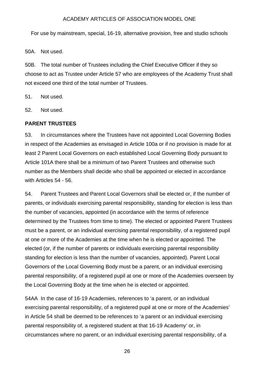For use by mainstream, special, 16-19, alternative provision, free and studio schools

50A. Not used.

50B. The total number of Trustees including the Chief Executive Officer if they so choose to act as Trustee under Article 57 who are employees of the Academy Trust shall not exceed one third of the total number of Trustees.

51. Not used.

52. Not used.

#### <span id="page-25-0"></span>**PARENT TRUSTEES**

53. In circumstances where the Trustees have not appointed Local Governing Bodies in respect of the Academies as envisaged in Article 100a or if no provision is made for at least 2 Parent Local Governors on each established Local Governing Body pursuant to Article 101A there shall be a minimum of two Parent Trustees and otherwise such number as the Members shall decide who shall be appointed or elected in accordance with Articles 54 - 56.

54. Parent Trustees and Parent Local Governors shall be elected or, if the number of parents, or individuals exercising parental responsibility, standing for election is less than the number of vacancies, appointed (in accordance with the terms of reference determined by the Trustees from time to time). The elected or appointed Parent Trustees must be a parent, or an individual exercising parental responsibility, of a registered pupil at one or more of the Academies at the time when he is elected or appointed. The elected (or, if the number of parents or individuals exercising parental responsibility standing for election is less than the number of vacancies, appointed). Parent Local Governors of the Local Governing Body must be a parent, or an individual exercising parental responsibility, of a registered pupil at one or more of the Academies overseen by the Local Governing Body at the time when he is elected or appointed.

54AA In the case of 16-19 Academies, references to 'a parent, or an individual exercising parental responsibility, of a registered pupil at one or more of the Academies' in Article 54 shall be deemed to be references to 'a parent or an individual exercising parental responsibility of, a registered student at that 16-19 Academy' or, in circumstances where no parent, or an individual exercising parental responsibility, of a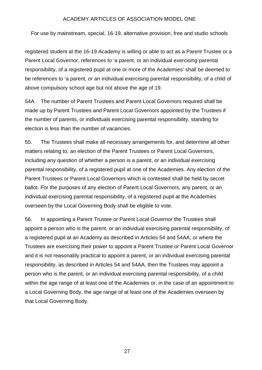For use by mainstream, special, 16-19, alternative provision, free and studio schools

registered student at the 16-19 Academy is willing or able to act as a Parent Trustee or a Parent Local Governor, references to 'a parent, or an individual exercising parental responsibility, of a registered pupil at one or more of the Academies' shall be deemed to be references to 'a parent, or an individual exercising parental responsibility, of a child of above compulsory school age but not above the age of 19.

54A. The number of Parent Trustees and Parent Local Governors required shall be made up by Parent Trustees and Parent Local Governors appointed by the Trustees if the number of parents, or individuals exercising parental responsibility, standing for election is less than the number of vacancies.

55. The Trustees shall make all necessary arrangements for, and determine all other matters relating to, an election of the Parent Trustees or Parent Local Governors, including any question of whether a person is a parent, or an individual exercising parental responsibility, of a registered pupil at one of the Academies. Any election of the Parent Trustees or Parent Local Governors which is contested shall be held by secret ballot. For the purposes of any election of Parent Local Governors, any parent, or an individual exercising parental responsibility, of a registered pupil at the Academies overseen by the Local Governing Body shall be eligible to vote.

56. In appointing a Parent Trustee or Parent Local Governor the Trustees shall appoint a person who is the parent, or an individual exercising parental responsibility, of a registered pupil at an Academy as described in Articles 54 and 54AA; or where the Trustees are exercising their power to appoint a Parent Trustee or Parent Local Governor and it is not reasonably practical to appoint a parent, or an individual exercising parental responsibility, as described in Articles 54 and 54AA, then the Trustees may appoint a person who is the parent, or an individual exercising parental responsibility, of a child within the age range of at least one of the Academies or, in the case of an appointment to a Local Governing Body, the age range of at least one of the Academies overseen by that Local Governing Body.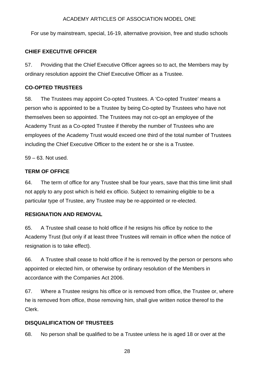For use by mainstream, special, 16-19, alternative provision, free and studio schools

## **CHIEF EXECUTIVE OFFICER**

57. Providing that the Chief Executive Officer agrees so to act, the Members may by ordinary resolution appoint the Chief Executive Officer as a Trustee.

## <span id="page-27-0"></span>**CO-OPTED TRUSTEES**

58. The Trustees may appoint Co-opted Trustees. A 'Co-opted Trustee' means a person who is appointed to be a Trustee by being Co-opted by Trustees who have not themselves been so appointed. The Trustees may not co-opt an employee of the Academy Trust as a Co-opted Trustee if thereby the number of Trustees who are employees of the Academy Trust would exceed one third of the total number of Trustees including the Chief Executive Officer to the extent he or she is a Trustee.

59 – 63. Not used.

## <span id="page-27-1"></span>**TERM OF OFFICE**

64. The term of office for any Trustee shall be four years, save that this time limit shall not apply to any post which is held ex officio. Subject to remaining eligible to be a particular type of Trustee, any Trustee may be re-appointed or re-elected.

## **RESIGNATION AND REMOVAL**

65. A Trustee shall cease to hold office if he resigns his office by notice to the Academy Trust (but only if at least three Trustees will remain in office when the notice of resignation is to take effect).

66. A Trustee shall cease to hold office if he is removed by the person or persons who appointed or elected him, or otherwise by ordinary resolution of the Members in accordance with the Companies Act 2006.

67. Where a Trustee resigns his office or is removed from office, the Trustee or, where he is removed from office, those removing him, shall give written notice thereof to the Clerk.

## <span id="page-27-2"></span>**DISQUALIFICATION OF TRUSTEES**

68. No person shall be qualified to be a Trustee unless he is aged 18 or over at the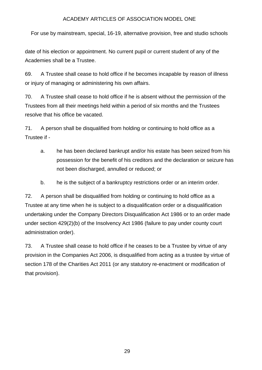For use by mainstream, special, 16-19, alternative provision, free and studio schools

date of his election or appointment. No current pupil or current student of any of the Academies shall be a Trustee.

69. A Trustee shall cease to hold office if he becomes incapable by reason of illness or injury of managing or administering his own affairs.

70. A Trustee shall cease to hold office if he is absent without the permission of the Trustees from all their meetings held within a period of six months and the Trustees resolve that his office be vacated.

71. A person shall be disqualified from holding or continuing to hold office as a Trustee if -

- a. he has been declared bankrupt and/or his estate has been seized from his possession for the benefit of his creditors and the declaration or seizure has not been discharged, annulled or reduced; or
- b. he is the subject of a bankruptcy restrictions order or an interim order.

72. A person shall be disqualified from holding or continuing to hold office as a Trustee at any time when he is subject to a disqualification order or a disqualification undertaking under the Company Directors Disqualification Act 1986 or to an order made under section 429(2)(b) of the Insolvency Act 1986 (failure to pay under county court administration order).

73. A Trustee shall cease to hold office if he ceases to be a Trustee by virtue of any provision in the Companies Act 2006, is disqualified from acting as a trustee by virtue of section 178 of the Charities Act 2011 (or any statutory re-enactment or modification of that provision).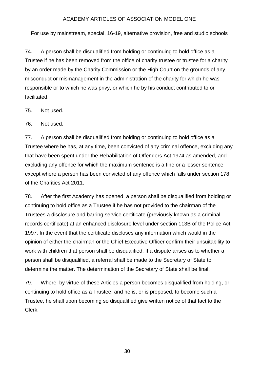For use by mainstream, special, 16-19, alternative provision, free and studio schools

74. A person shall be disqualified from holding or continuing to hold office as a Trustee if he has been removed from the office of charity trustee or trustee for a charity by an order made by the Charity Commission or the High Court on the grounds of any misconduct or mismanagement in the administration of the charity for which he was responsible or to which he was privy, or which he by his conduct contributed to or facilitated.

75. Not used.

76. Not used.

77. A person shall be disqualified from holding or continuing to hold office as a Trustee where he has, at any time, been convicted of any criminal offence, excluding any that have been spent under the Rehabilitation of Offenders Act 1974 as amended, and excluding any offence for which the maximum sentence is a fine or a lesser sentence except where a person has been convicted of any offence which falls under section 178 of the Charities Act 2011.

78. After the first Academy has opened, a person shall be disqualified from holding or continuing to hold office as a Trustee if he has not provided to the chairman of the Trustees a disclosure and barring service certificate (previously known as a criminal records certificate) at an enhanced disclosure level under section 113B of the Police Act 1997. In the event that the certificate discloses any information which would in the opinion of either the chairman or the Chief Executive Officer confirm their unsuitability to work with children that person shall be disqualified. If a dispute arises as to whether a person shall be disqualified, a referral shall be made to the Secretary of State to determine the matter. The determination of the Secretary of State shall be final.

79. Where, by virtue of these Articles a person becomes disqualified from holding, or continuing to hold office as a Trustee; and he is, or is proposed, to become such a Trustee, he shall upon becoming so disqualified give written notice of that fact to the Clerk.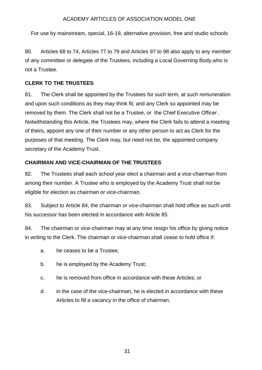For use by mainstream, special, 16-19, alternative provision, free and studio schools

80. Articles 68 to 74, Articles 77 to 79 and Articles 97 to 98 also apply to any member of any committee or delegate of the Trustees, including a Local Governing Body,who is not a Trustee.

## <span id="page-30-0"></span>**CLERK TO THE TRUSTEES**

81. The Clerk shall be appointed by the Trustees for such term, at such remuneration and upon such conditions as they may think fit; and any Clerk so appointed may be removed by them. The Clerk shall not be a Trustee, or the Chief Executive Officer *.* Notwithstanding this Article, the Trustees may, where the Clerk fails to attend a meeting of theirs, appoint any one of their number or any other person to act as Clerk for the purposes of that meeting. The Clerk may, but need not be, the appointed company secretary of the Academy Trust.

## <span id="page-30-1"></span>**CHAIRMAN AND VICE-CHAIRMAN OF THE TRUSTEES**

82. The Trustees shall each school year elect a chairman and a vice-chairman from among their number. A Trustee who is employed by the Academy Trust shall not be eligible for election as chairman or vice-chairman.

83. Subject to Article 84, the chairman or vice-chairman shall hold office as such until his successor has been elected in accordance with Article 85.

84. The chairman or vice-chairman may at any time resign his office by giving notice in writing to the Clerk. The chairman or vice-chairman shall cease to hold office if:

- a. he ceases to be a Trustee;
- b. he is employed by the Academy Trust;
- c. he is removed from office in accordance with these Articles; or
- d. in the case of the vice-chairman, he is elected in accordance with these Articles to fill a vacancy in the office of chairman.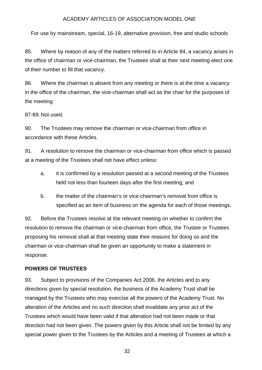For use by mainstream, special, 16-19, alternative provision, free and studio schools

85. Where by reason of any of the matters referred to in Article 84, a vacancy arises in the office of chairman or vice-chairman, the Trustees shall at their next meeting elect one of their number to fill that vacancy.

86. Where the chairman is absent from any meeting or there is at the time a vacancy in the office of the chairman, the vice-chairman shall act as the chair for the purposes of the meeting.

87-89. Not used.

90. The Trustees may remove the chairman or vice-chairman from office in accordance with these Articles.

91. A resolution to remove the chairman or vice-chairman from office which is passed at a meeting of the Trustees shall not have effect unless:

- a. it is confirmed by a resolution passed at a second meeting of the Trustees held not less than fourteen days after the first meeting; and
- b. the matter of the chairman's or vice-chairman's removal from office is specified as an item of business on the agenda for each of those meetings.

92. Before the Trustees resolve at the relevant meeting on whether to confirm the resolution to remove the chairman or vice-chairman from office, the Trustee or Trustees proposing his removal shall at that meeting state their reasons for doing so and the chairman or vice-chairman shall be given an opportunity to make a statement in response.

#### <span id="page-31-0"></span>**POWERS OF TRUSTEES**

93. Subject to provisions of the Companies Act 2006, the Articles and to any directions given by special resolution, the business of the Academy Trust shall be managed by the Trustees who may exercise all the powers of the Academy Trust. No alteration of the Articles and no such direction shall invalidate any prior act of the Trustees which would have been valid if that alteration had not been made or that direction had not been given. The powers given by this Article shall not be limited by any special power given to the Trustees by the Articles and a meeting of Trustees at which a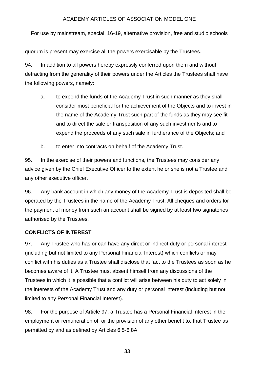For use by mainstream, special, 16-19, alternative provision, free and studio schools

quorum is present may exercise all the powers exercisable by the Trustees.

94. In addition to all powers hereby expressly conferred upon them and without detracting from the generality of their powers under the Articles the Trustees shall have the following powers, namely:

- a. to expend the funds of the Academy Trust in such manner as they shall consider most beneficial for the achievement of the Objects and to invest in the name of the Academy Trust such part of the funds as they may see fit and to direct the sale or transposition of any such investments and to expend the proceeds of any such sale in furtherance of the Objects; and
- b. to enter into contracts on behalf of the Academy Trust.

95. In the exercise of their powers and functions, the Trustees may consider any advice given by the Chief Executive Officer to the extent he or she is not a Trustee and any other executive officer.

96. Any bank account in which any money of the Academy Trust is deposited shall be operated by the Trustees in the name of the Academy Trust. All cheques and orders for the payment of money from such an account shall be signed by at least two signatories authorised by the Trustees.

## <span id="page-32-0"></span>**CONFLICTS OF INTEREST**

97. Any Trustee who has or can have any direct or indirect duty or personal interest (including but not limited to any Personal Financial Interest) which conflicts or may conflict with his duties as a Trustee shall disclose that fact to the Trustees as soon as he becomes aware of it. A Trustee must absent himself from any discussions of the Trustees in which it is possible that a conflict will arise between his duty to act solely in the interests of the Academy Trust and any duty or personal interest (including but not limited to any Personal Financial Interest).

98. For the purpose of Article 97, a Trustee has a Personal Financial Interest in the employment or remuneration of, or the provision of any other benefit to, that Trustee as permitted by and as defined by Articles 6.5-6.8A.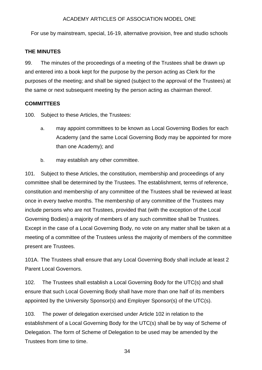For use by mainstream, special, 16-19, alternative provision, free and studio schools

## <span id="page-33-0"></span>**THE MINUTES**

99. The minutes of the proceedings of a meeting of the Trustees shall be drawn up and entered into a book kept for the purpose by the person acting as Clerk for the purposes of the meeting; and shall be signed (subject to the approval of the Trustees) at the same or next subsequent meeting by the person acting as chairman thereof.

#### <span id="page-33-1"></span>**COMMITTEES**

100. Subject to these Articles, the Trustees:

- a. may appoint committees to be known as Local Governing Bodies for each Academy (and the same Local Governing Body may be appointed for more than one Academy); and
- b. may establish any other committee.

101. Subject to these Articles, the constitution, membership and proceedings of any committee shall be determined by the Trustees. The establishment, terms of reference, constitution and membership of any committee of the Trustees shall be reviewed at least once in every twelve months. The membership of any committee of the Trustees may include persons who are not Trustees, provided that (with the exception of the Local Governing Bodies) a majority of members of any such committee shall be Trustees. Except in the case of a Local Governing Body, no vote on any matter shall be taken at a meeting of a committee of the Trustees unless the majority of members of the committee present are Trustees.

101A. The Trustees shall ensure that any Local Governing Body shall include at least 2 Parent Local Governors.

102. The Trustees shall establish a Local Governing Body for the UTC(s) and shall ensure that such Local Governing Body shall have more than one half of its members appointed by the University Sponsor(s) and Employer Sponsor(s) of the UTC(s).

103. The power of delegation exercised under Article 102 in relation to the establishment of a Local Governing Body for the UTC(s) shall be by way of Scheme of Delegation. The form of Scheme of Delegation to be used may be amended by the Trustees from time to time.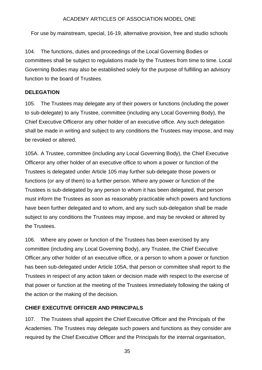For use by mainstream, special, 16-19, alternative provision, free and studio schools

104. The functions, duties and proceedings of the Local Governing Bodies or committees shall be subject to regulations made by the Trustees from time to time. Local Governing Bodies may also be established solely for the purpose of fulfilling an advisory function to the board of Trustees.

## <span id="page-34-0"></span>**DELEGATION**

105. The Trustees may delegate any of their powers or functions (including the power to sub-delegate) to any Trustee, committee (including any Local Governing Body), the Chief Executive Officeror any other holder of an executive office. Any such delegation shall be made in writing and subject to any conditions the Trustees may impose, and may be revoked or altered.

105A. A Trustee, committee (including any Local Governing Body), the Chief Executive Officeror any other holder of an executive office to whom a power or function of the Trustees is delegated under Article 105 may further sub-delegate those powers or functions (or any of them) to a further person. Where any power or function of the Trustees is sub-delegated by any person to whom it has been delegated, that person must inform the Trustees as soon as reasonably practicable which powers and functions have been further delegated and to whom, and any such sub-delegation shall be made subject to any conditions the Trustees may impose, and may be revoked or altered by the Trustees.

106. Where any power or function of the Trustees has been exercised by any committee (including any Local Governing Body), any Trustee, the Chief Executive Officer,any other holder of an executive office, or a person to whom a power or function has been sub-delegated under Article 105A, that person or committee shall report to the Trustees in respect of any action taken or decision made with respect to the exercise of that power or function at the meeting of the Trustees immediately following the taking of the action or the making of the decision.

## <span id="page-34-1"></span>**CHIEF EXECUTIVE OFFICER AND PRINCIPALS**

107. The Trustees shall appoint the Chief Executive Officer and the Principals of the Academies. The Trustees may delegate such powers and functions as they consider are required by the Chief Executive Officer and the Principals for the internal organisation,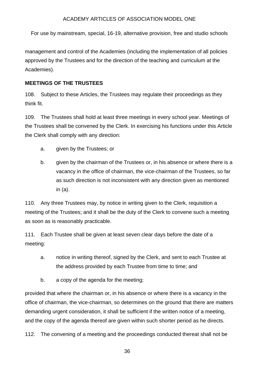For use by mainstream, special, 16-19, alternative provision, free and studio schools

management and control of the Academies (including the implementation of all policies approved by the Trustees and for the direction of the teaching and curriculum at the Academies).

## <span id="page-35-0"></span>**MEETINGS OF THE TRUSTEES**

108. Subject to these Articles, the Trustees may regulate their proceedings as they think fit.

109. The Trustees shall hold at least three meetings in every school year. Meetings of the Trustees shall be convened by the Clerk. In exercising his functions under this Article the Clerk shall comply with any direction:

- a. given by the Trustees; or
- b. given by the chairman of the Trustees or, in his absence or where there is a vacancy in the office of chairman, the vice-chairman of the Trustees, so far as such direction is not inconsistent with any direction given as mentioned in (a).

110. Any three Trustees may, by notice in writing given to the Clerk, requisition a meeting of the Trustees; and it shall be the duty of the Clerk to convene such a meeting as soon as is reasonably practicable.

111. Each Trustee shall be given at least seven clear days before the date of a meeting:

- a. notice in writing thereof, signed by the Clerk, and sent to each Trustee at the address provided by each Trustee from time to time; and
- b. a copy of the agenda for the meeting;

provided that where the chairman or, in his absence or where there is a vacancy in the office of chairman, the vice-chairman, so determines on the ground that there are matters demanding urgent consideration, it shall be sufficient if the written notice of a meeting, and the copy of the agenda thereof are given within such shorter period as he directs.

112. The convening of a meeting and the proceedings conducted thereat shall not be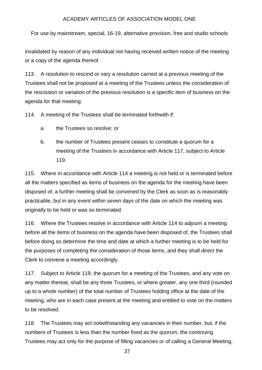For use by mainstream, special, 16-19, alternative provision, free and studio schools

invalidated by reason of any individual not having received written notice of the meeting or a copy of the agenda thereof.

113. A resolution to rescind or vary a resolution carried at a previous meeting of the Trustees shall not be proposed at a meeting of the Trustees unless the consideration of the rescission or variation of the previous resolution is a specific item of business on the agenda for that meeting.

114. A meeting of the Trustees shall be terminated forthwith if:

- a. the Trustees so resolve; or
- b. the number of Trustees present ceases to constitute a quorum for a meeting of the Trustees in accordance with Article 117, subject to Article 119.

115. Where in accordance with Article 114 a meeting is not held or is terminated before all the matters specified as items of business on the agenda for the meeting have been disposed of, a further meeting shall be convened by the Clerk as soon as is reasonably practicable, but in any event within seven days of the date on which the meeting was originally to be held or was so terminated.

116. Where the Trustees resolve in accordance with Article 114 to adjourn a meeting before all the items of business on the agenda have been disposed of, the Trustees shall before doing so determine the time and date at which a further meeting is to be held for the purposes of completing the consideration of those items, and they shall direct the Clerk to convene a meeting accordingly.

117. Subject to Article 119, the quorum for a meeting of the Trustees, and any vote on any matter thereat, shall be any three Trustees, or where greater, any one third (rounded up to a whole number) of the total number of Trustees holding office at the date of the meeting, who are in each case present at the meeting and entitled to vote on the matters to be resolved.

118. The Trustees may act notwithstanding any vacancies in their number, but, if the numbers of Trustees is less than the number fixed as the quorum, the continuing Trustees may act only for the purpose of filling vacancies or of calling a General Meeting.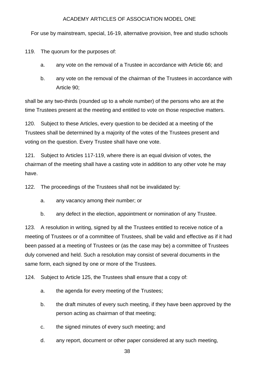For use by mainstream, special, 16-19, alternative provision, free and studio schools

119. The quorum for the purposes of:

- a. any vote on the removal of a Trustee in accordance with Article 66; and
- b. any vote on the removal of the chairman of the Trustees in accordance with Article 90;

shall be any two-thirds (rounded up to a whole number) of the persons who are at the time Trustees present at the meeting and entitled to vote on those respective matters.

120. Subject to these Articles, every question to be decided at a meeting of the Trustees shall be determined by a majority of the votes of the Trustees present and voting on the question. Every Trustee shall have one vote.

121. Subject to Articles 117-119, where there is an equal division of votes, the chairman of the meeting shall have a casting vote in addition to any other vote he may have.

122. The proceedings of the Trustees shall not be invalidated by:

- a. any vacancy among their number; or
- b. any defect in the election, appointment or nomination of any Trustee.

123. A resolution in writing, signed by all the Trustees entitled to receive notice of a meeting of Trustees or of a committee of Trustees, shall be valid and effective as if it had been passed at a meeting of Trustees or (as the case may be) a committee of Trustees duly convened and held. Such a resolution may consist of several documents in the same form, each signed by one or more of the Trustees.

124. Subject to Article 125, the Trustees shall ensure that a copy of:

- a. the agenda for every meeting of the Trustees;
- b. the draft minutes of every such meeting, if they have been approved by the person acting as chairman of that meeting;
- c. the signed minutes of every such meeting; and
- d. any report, document or other paper considered at any such meeting,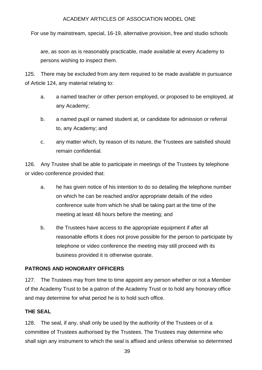For use by mainstream, special, 16-19, alternative provision, free and studio schools

are, as soon as is reasonably practicable, made available at every Academy to persons wishing to inspect them.

125. There may be excluded from any item required to be made available in pursuance of Article 124, any material relating to:

- a. a named teacher or other person employed, or proposed to be employed, at any Academy;
- b. a named pupil or named student at, or candidate for admission or referral to, any Academy; and
- c. any matter which, by reason of its nature, the Trustees are satisfied should remain confidential.

126. Any Trustee shall be able to participate in meetings of the Trustees by telephone or video conference provided that:

- a. he has given notice of his intention to do so detailing the telephone number on which he can be reached and/or appropriate details of the video conference suite from which he shall be taking part at the time of the meeting at least 48 hours before the meeting; and
- b. the Trustees have access to the appropriate equipment if after all reasonable efforts it does not prove possible for the person to participate by telephone or video conference the meeting may still proceed with its business provided it is otherwise quorate.

## <span id="page-38-0"></span>**PATRONS AND HONORARY OFFICERS**

127. The Trustees may from time to time appoint any person whether or not a Member of the Academy Trust to be a patron of the Academy Trust or to hold any honorary office and may determine for what period he is to hold such office.

## <span id="page-38-1"></span>**THE SEAL**

128. The seal, if any, shall only be used by the authority of the Trustees or of a committee of Trustees authorised by the Trustees. The Trustees may determine who shall sign any instrument to which the seal is affixed and unless otherwise so determined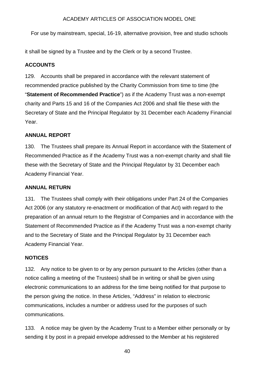For use by mainstream, special, 16-19, alternative provision, free and studio schools

it shall be signed by a Trustee and by the Clerk or by a second Trustee.

## <span id="page-39-0"></span>**ACCOUNTS**

129. Accounts shall be prepared in accordance with the relevant statement of recommended practice published by the Charity Commission from time to time (the "**Statement of Recommended Practice**") as if the Academy Trust was a non-exempt charity and Parts 15 and 16 of the Companies Act 2006 and shall file these with the Secretary of State and the Principal Regulator by 31 December each Academy Financial Year.

## <span id="page-39-1"></span>**ANNUAL REPORT**

130. The Trustees shall prepare its Annual Report in accordance with the Statement of Recommended Practice as if the Academy Trust was a non-exempt charity and shall file these with the Secretary of State and the Principal Regulator by 31 December each Academy Financial Year.

## <span id="page-39-2"></span>**ANNUAL RETURN**

131. The Trustees shall comply with their obligations under Part 24 of the Companies Act 2006 (or any statutory re-enactment or modification of that Act) with regard to the preparation of an annual return to the Registrar of Companies and in accordance with the Statement of Recommended Practice as if the Academy Trust was a non-exempt charity and to the Secretary of State and the Principal Regulator by 31 December each Academy Financial Year.

## <span id="page-39-3"></span>**NOTICES**

132. Any notice to be given to or by any person pursuant to the Articles (other than a notice calling a meeting of the Trustees) shall be in writing or shall be given using electronic communications to an address for the time being notified for that purpose to the person giving the notice. In these Articles, "Address" in relation to electronic communications, includes a number or address used for the purposes of such communications.

133. A notice may be given by the Academy Trust to a Member either personally or by sending it by post in a prepaid envelope addressed to the Member at his registered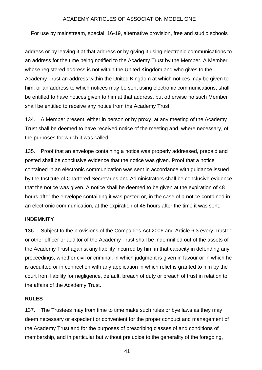For use by mainstream, special, 16-19, alternative provision, free and studio schools

address or by leaving it at that address or by giving it using electronic communications to an address for the time being notified to the Academy Trust by the Member. A Member whose registered address is not within the United Kingdom and who gives to the Academy Trust an address within the United Kingdom at which notices may be given to him, or an address to which notices may be sent using electronic communications, shall be entitled to have notices given to him at that address, but otherwise no such Member shall be entitled to receive any notice from the Academy Trust.

134. A Member present, either in person or by proxy, at any meeting of the Academy Trust shall be deemed to have received notice of the meeting and, where necessary, of the purposes for which it was called.

135. Proof that an envelope containing a notice was properly addressed, prepaid and posted shall be conclusive evidence that the notice was given. Proof that a notice contained in an electronic communication was sent in accordance with guidance issued by the Institute of Chartered Secretaries and Administrators shall be conclusive evidence that the notice was given. A notice shall be deemed to be given at the expiration of 48 hours after the envelope containing it was posted or, in the case of a notice contained in an electronic communication, at the expiration of 48 hours after the time it was sent.

#### <span id="page-40-0"></span>**INDEMNITY**

136. Subject to the provisions of the Companies Act 2006 and Article 6.3 every Trustee or other officer or auditor of the Academy Trust shall be indemnified out of the assets of the Academy Trust against any liability incurred by him in that capacity in defending any proceedings, whether civil or criminal, in which judgment is given in favour or in which he is acquitted or in connection with any application in which relief is granted to him by the court from liability for negligence, default, breach of duty or breach of trust in relation to the affairs of the Academy Trust.

#### <span id="page-40-1"></span>**RULES**

137. The Trustees may from time to time make such rules or bye laws as they may deem necessary or expedient or convenient for the proper conduct and management of the Academy Trust and for the purposes of prescribing classes of and conditions of membership, and in particular but without prejudice to the generality of the foregoing,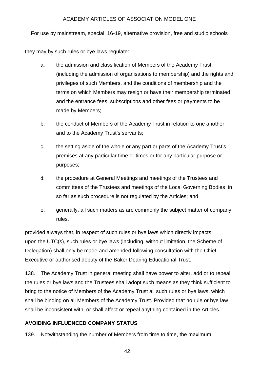For use by mainstream, special, 16-19, alternative provision, free and studio schools

they may by such rules or bye laws regulate:

- a. the admission and classification of Members of the Academy Trust (including the admission of organisations to membership) and the rights and privileges of such Members, and the conditions of membership and the terms on which Members may resign or have their membership terminated and the entrance fees, subscriptions and other fees or payments to be made by Members;
- b. the conduct of Members of the Academy Trust in relation to one another, and to the Academy Trust's servants;
- c. the setting aside of the whole or any part or parts of the Academy Trust's premises at any particular time or times or for any particular purpose or purposes;
- d. the procedure at General Meetings and meetings of the Trustees and committees of the Trustees and meetings of the Local Governing Bodies in so far as such procedure is not regulated by the Articles; and
- e. generally, all such matters as are commonly the subject matter of company rules.

provided always that, in respect of such rules or bye laws which directly impacts upon the UTC(s), such rules or bye laws (including, without limitation, the Scheme of Delegation) shall only be made and amended following consultation with the Chief Executive or authorised deputy of the Baker Dearing Educational Trust.

138. The Academy Trust in general meeting shall have power to alter, add or to repeal the rules or bye laws and the Trustees shall adopt such means as they think sufficient to bring to the notice of Members of the Academy Trust all such rules or bye laws, which shall be binding on all Members of the Academy Trust. Provided that no rule or bye law shall be inconsistent with, or shall affect or repeal anything contained in the Articles.

## <span id="page-41-0"></span>**AVOIDING INFLUENCED COMPANY STATUS**

139. Notwithstanding the number of Members from time to time, the maximum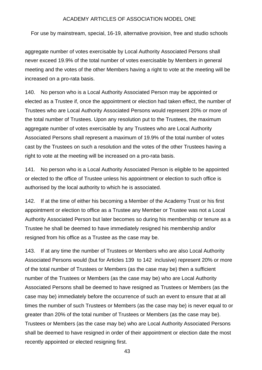For use by mainstream, special, 16-19, alternative provision, free and studio schools

aggregate number of votes exercisable by Local Authority Associated Persons shall never exceed 19.9% of the total number of votes exercisable by Members in general meeting and the votes of the other Members having a right to vote at the meeting will be increased on a pro-rata basis.

140. No person who is a Local Authority Associated Person may be appointed or elected as a Trustee if, once the appointment or election had taken effect, the number of Trustees who are Local Authority Associated Persons would represent 20% or more of the total number of Trustees. Upon any resolution put to the Trustees, the maximum aggregate number of votes exercisable by any Trustees who are Local Authority Associated Persons shall represent a maximum of 19.9% of the total number of votes cast by the Trustees on such a resolution and the votes of the other Trustees having a right to vote at the meeting will be increased on a pro-rata basis.

141. No person who is a Local Authority Associated Person is eligible to be appointed or elected to the office of Trustee unless his appointment or election to such office is authorised by the local authority to which he is associated.

142. If at the time of either his becoming a Member of the Academy Trust or his first appointment or election to office as a Trustee any Member or Trustee was not a Local Authority Associated Person but later becomes so during his membership or tenure as a Trustee he shall be deemed to have immediately resigned his membership and/or resigned from his office as a Trustee as the case may be.

143. If at any time the number of Trustees or Members who are also Local Authority Associated Persons would (but for Articles 139 to 142 inclusive) represent 20% or more of the total number of Trustees or Members (as the case may be) then a sufficient number of the Trustees or Members (as the case may be) who are Local Authority Associated Persons shall be deemed to have resigned as Trustees or Members (as the case may be) immediately before the occurrence of such an event to ensure that at all times the number of such Trustees or Members (as the case may be) is never equal to or greater than 20% of the total number of Trustees or Members (as the case may be). Trustees or Members (as the case may be) who are Local Authority Associated Persons shall be deemed to have resigned in order of their appointment or election date the most recently appointed or elected resigning first.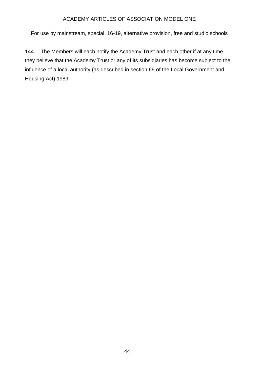For use by mainstream, special, 16-19, alternative provision, free and studio schools

144. The Members will each notify the Academy Trust and each other if at any time they believe that the Academy Trust or any of its subsidiaries has become subject to the influence of a local authority (as described in section 69 of the Local Government and Housing Act) 1989.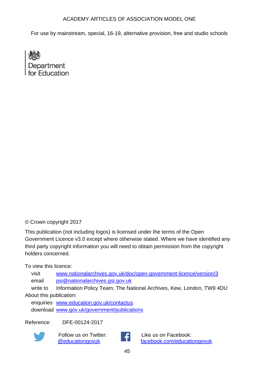For use by mainstream, special, 16-19, alternative provision, free and studio schools

Department for Education

## © Crown copyright 2017

This publication (not including logos) is licensed under the terms of the Open Government Licence v3.0 except where otherwise stated. Where we have identified any third party copyright information you will need to obtain permission from the copyright holders concerned.

To view this licence:

visit [www.nationalarchives.gov.uk/doc/open-government-licence/version/3](http://www.nationalarchives.gov.uk/doc/open-government-licence/version/3/) email [psi@nationalarchives.gsi.gov.uk](mailto:psi@nationalarchives.gsi.gov.uk)

write to Information Policy Team, The National Archives, Kew, London, TW9 4DU About this publication:

enquiries [www.education.gov.uk/contactus](http://www.education.gov.uk/contactus) download [www.gov.uk/government/publications](http://www.gov.uk/government/publications)

Reference: DFE-00124-2017



Follow us on Twitter: [@educationgovuk](http://twitter.com/educationgovuk)



Like us on Facebook: [facebook.com/educationgovuk](http://www.facebook.com/educationgovuk)